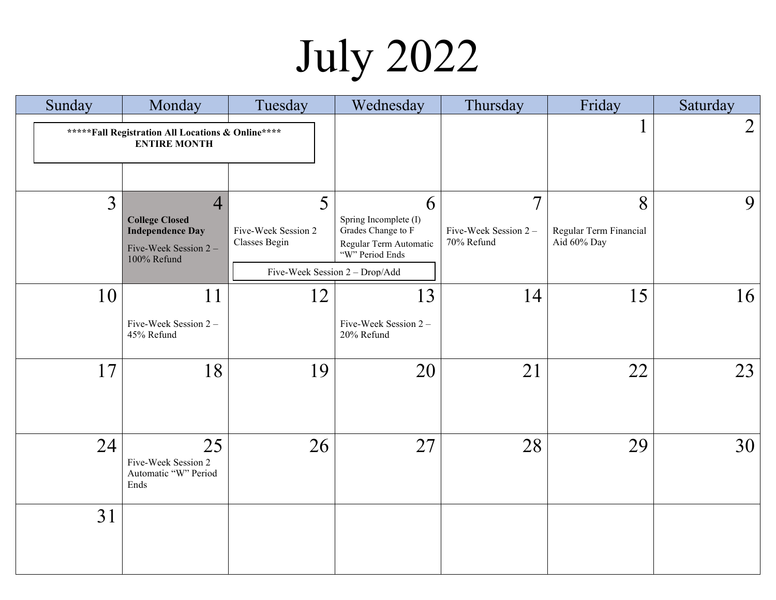# July 2022

| Sunday                                                                    | Monday                                                                                                     | Tuesday                                   | Wednesday                                                                                                                       | Thursday                                              | Friday                                     | Saturday       |
|---------------------------------------------------------------------------|------------------------------------------------------------------------------------------------------------|-------------------------------------------|---------------------------------------------------------------------------------------------------------------------------------|-------------------------------------------------------|--------------------------------------------|----------------|
| ***** Fall Registration All Locations & Online****<br><b>ENTIRE MONTH</b> |                                                                                                            |                                           |                                                                                                                                 |                                                       |                                            | $\overline{2}$ |
| $\overline{3}$                                                            | $\overline{4}$<br><b>College Closed</b><br><b>Independence Day</b><br>Five-Week Session 2 -<br>100% Refund | 5<br>Five-Week Session 2<br>Classes Begin | 6<br>Spring Incomplete (I)<br>Grades Change to F<br>Regular Term Automatic<br>"W" Period Ends<br>Five-Week Session 2 - Drop/Add | $\overline{7}$<br>Five-Week Session 2 -<br>70% Refund | 8<br>Regular Term Financial<br>Aid 60% Day | 9              |
|                                                                           |                                                                                                            |                                           |                                                                                                                                 |                                                       |                                            |                |
| 10                                                                        | 11<br>Five-Week Session 2 -<br>45% Refund                                                                  | 12                                        | 13<br>Five-Week Session 2 -<br>20% Refund                                                                                       | 14                                                    | 15                                         | 16             |
| 17                                                                        | 18                                                                                                         | 19                                        | 20                                                                                                                              | 21                                                    | 22                                         | 23             |
| 24                                                                        | 25<br>Five-Week Session 2<br>Automatic "W" Period<br>Ends                                                  | 26                                        | 27                                                                                                                              | 28                                                    | 29                                         | 30             |
| 31                                                                        |                                                                                                            |                                           |                                                                                                                                 |                                                       |                                            |                |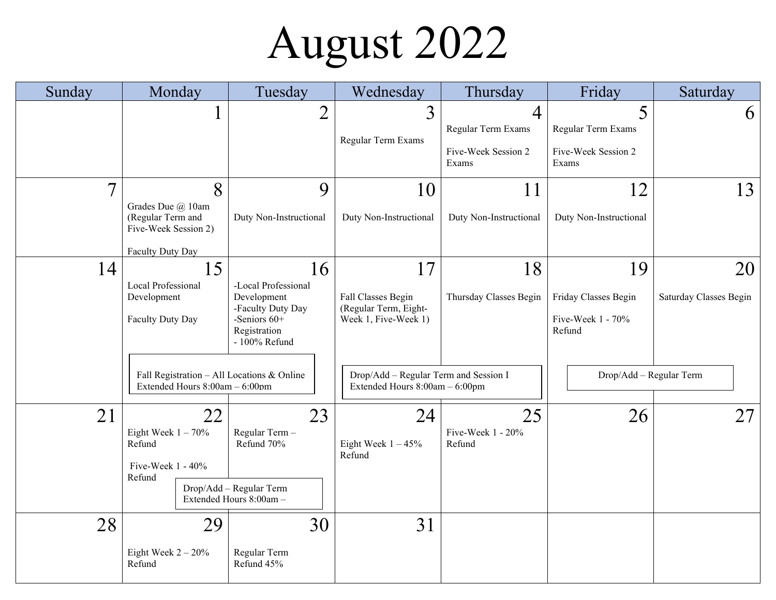## August 2022

| Sunday         | Monday                                                                                                                                      | Tuesday                                                                                                        | Wednesday                                                                                                                                            | Thursday                                                             | Friday                                                                               | Saturday                     |
|----------------|---------------------------------------------------------------------------------------------------------------------------------------------|----------------------------------------------------------------------------------------------------------------|------------------------------------------------------------------------------------------------------------------------------------------------------|----------------------------------------------------------------------|--------------------------------------------------------------------------------------|------------------------------|
|                | 1                                                                                                                                           | 2                                                                                                              | 3<br>Regular Term Exams                                                                                                                              | $\overline{4}$<br>Regular Term Exams<br>Five-Week Session 2<br>Exams | 5<br>Regular Term Exams<br>Five-Week Session 2<br>Exams                              | 6                            |
| $\overline{7}$ | 8<br>Grades Due @ 10am<br>(Regular Term and<br>Five-Week Session 2)<br>Faculty Duty Day                                                     | 9<br>Duty Non-Instructional                                                                                    | 10<br>Duty Non-Instructional                                                                                                                         | 11<br>Duty Non-Instructional                                         | 12<br>Duty Non-Instructional                                                         | 13                           |
| 14             | 15<br>Local Professional<br>Development<br>Faculty Duty Day<br>Fall Registration - All Locations & Online<br>Extended Hours 8:00am - 6:00pm | 16<br>-Local Professional<br>Development<br>-Faculty Duty Day<br>-Seniors 60+<br>Registration<br>- 100% Refund | 17<br>Fall Classes Begin<br>(Regular Term, Eight-<br>Week 1, Five-Week 1)<br>Drop/Add - Regular Term and Session I<br>Extended Hours 8:00am - 6:00pm | 18<br>Thursday Classes Begin                                         | 19<br>Friday Classes Begin<br>Five-Week 1 - 70%<br>Refund<br>Drop/Add - Regular Term | 20<br>Saturday Classes Begin |
| 21             | 22<br>Eight Week $1 - 70\%$<br>Refund<br>Five-Week $1 - 40\%$<br>Refund                                                                     | 23<br>Regular Term-<br>Refund 70%<br>Drop/Add - Regular Term<br>Extended Hours 8:00am -                        | 24<br>Eight Week $1 - 45%$<br>Refund                                                                                                                 | 25<br>Five-Week 1 - 20%<br>Refund                                    | 26                                                                                   | 27                           |
| 28             | 29<br>Eight Week $2 - 20\%$<br>Refund                                                                                                       | 30<br>Regular Term<br>Refund 45%                                                                               | 31                                                                                                                                                   |                                                                      |                                                                                      |                              |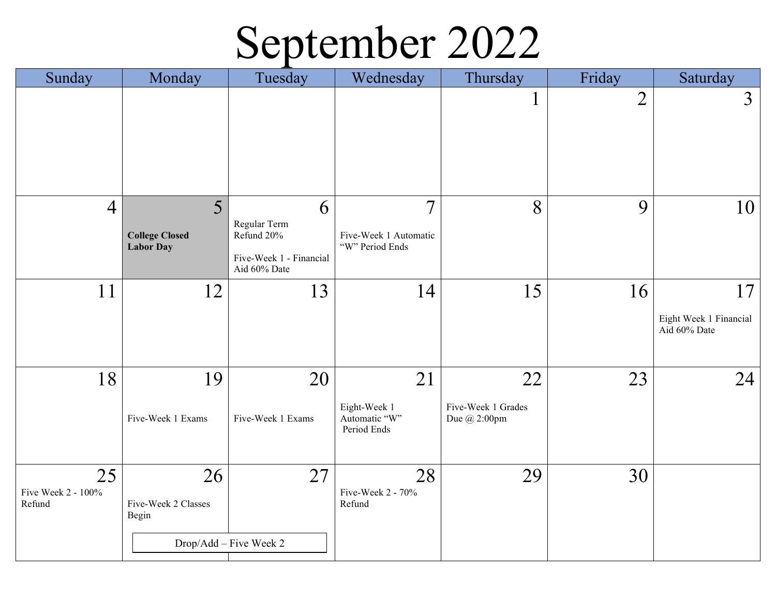#### September 2022

| Sunday                             | Monday                                                      | Tuesday                                                                    | Wednesday                                                  | Thursday                                 | Friday         | Saturday                                     |
|------------------------------------|-------------------------------------------------------------|----------------------------------------------------------------------------|------------------------------------------------------------|------------------------------------------|----------------|----------------------------------------------|
|                                    |                                                             |                                                                            |                                                            | $\mathbf{1}$                             | $\overline{2}$ | $\overline{3}$                               |
| $\overline{4}$                     | 5 <sup>5</sup><br><b>College Closed</b><br><b>Labor Day</b> | 6<br>Regular Term<br>Refund 20%<br>Five-Week 1 - Financial<br>Aid 60% Date | $\overline{7}$<br>Five-Week 1 Automatic<br>"W" Period Ends | 8                                        | 9              | 10                                           |
| 11                                 | 12                                                          | 13                                                                         | 14                                                         | 15                                       | 16             | 17<br>Eight Week 1 Financial<br>Aid 60% Date |
| 18                                 | 19<br>Five-Week 1 Exams                                     | 20<br>Five-Week 1 Exams                                                    | 21<br>Eight-Week 1<br>Automatic "W"<br>Period Ends         | 22<br>Five-Week 1 Grades<br>Due @ 2:00pm | 23             | 24                                           |
| 25<br>Five Week 2 - 100%<br>Refund | 26<br>Five-Week 2 Classes<br>Begin                          | 27<br>Drop/Add - Five Week 2                                               | 28<br>Five-Week 2 - 70%<br>Refund                          | 29                                       | 30             |                                              |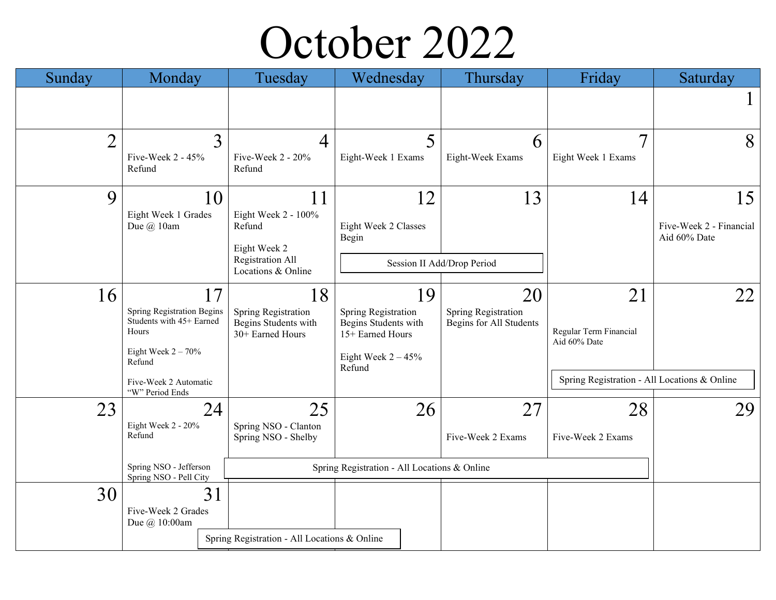#### October 2022

| Sunday         | Monday                                                                                                    | Tuesday                                                         | Wednesday                                                                                         | Thursday                                       | Friday                                       | Saturday                                |
|----------------|-----------------------------------------------------------------------------------------------------------|-----------------------------------------------------------------|---------------------------------------------------------------------------------------------------|------------------------------------------------|----------------------------------------------|-----------------------------------------|
|                |                                                                                                           |                                                                 |                                                                                                   |                                                |                                              |                                         |
| $\overline{2}$ | 3                                                                                                         | $\overline{4}$                                                  | 5                                                                                                 | 6                                              |                                              | 8                                       |
|                | Five-Week 2 - 45%<br>Refund                                                                               | Five-Week 2 - 20%<br>Refund                                     | Eight-Week 1 Exams                                                                                | Eight-Week Exams                               | Eight Week 1 Exams                           |                                         |
| 9              | 10                                                                                                        | 11                                                              | 12                                                                                                | 13                                             | 14                                           | 15                                      |
|                | Eight Week 1 Grades<br>Due @ 10am                                                                         | Eight Week 2 - 100%<br>Refund<br>Eight Week 2                   | Eight Week 2 Classes<br>Begin                                                                     |                                                |                                              | Five-Week 2 - Financial<br>Aid 60% Date |
|                |                                                                                                           | Registration All<br>Locations & Online                          |                                                                                                   | Session II Add/Drop Period                     |                                              |                                         |
| 16             | 17                                                                                                        | 18                                                              | 19                                                                                                | 20                                             | 21                                           | 22                                      |
|                | <b>Spring Registration Begins</b><br>Students with 45+ Earned<br>Hours<br>Eight Week $2 - 70\%$<br>Refund | Spring Registration<br>Begins Students with<br>30+ Earned Hours | Spring Registration<br>Begins Students with<br>15+ Earned Hours<br>Eight Week $2 - 45%$<br>Refund | Spring Registration<br>Begins for All Students | Regular Term Financial<br>Aid 60% Date       |                                         |
|                | Five-Week 2 Automatic                                                                                     |                                                                 |                                                                                                   |                                                | Spring Registration - All Locations & Online |                                         |
| 23             | "W" Period Ends<br>24<br>Eight Week 2 - 20%                                                               | 25<br>Spring NSO - Clanton                                      | 26                                                                                                | 27                                             | 28                                           | 29                                      |
|                | Refund                                                                                                    | Spring NSO - Shelby                                             |                                                                                                   | Five-Week 2 Exams                              | Five-Week 2 Exams                            |                                         |
|                | Spring NSO - Jefferson<br>Spring NSO - Pell City                                                          |                                                                 | Spring Registration - All Locations & Online                                                      |                                                |                                              |                                         |
| 30             | 31<br>Five-Week 2 Grades<br>Due @ 10:00am                                                                 | Spring Registration - All Locations & Online                    |                                                                                                   |                                                |                                              |                                         |
|                |                                                                                                           |                                                                 |                                                                                                   |                                                |                                              |                                         |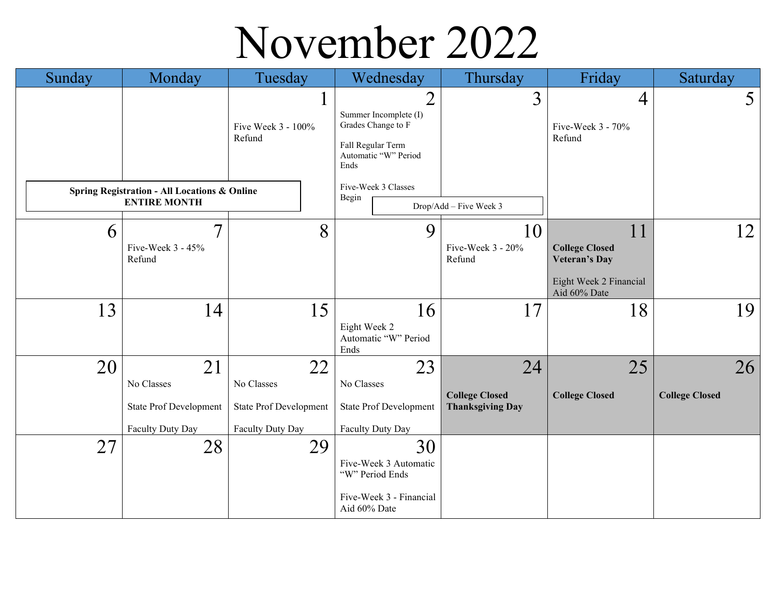#### November 2022

| Sunday | Monday                                                         | Tuesday                                                               |                                                                                                                                           | Wednesday                                                                 | Thursday                                               | Friday                                                                                        | Saturday                    |
|--------|----------------------------------------------------------------|-----------------------------------------------------------------------|-------------------------------------------------------------------------------------------------------------------------------------------|---------------------------------------------------------------------------|--------------------------------------------------------|-----------------------------------------------------------------------------------------------|-----------------------------|
|        | <b>Spring Registration - All Locations &amp; Online</b>        | $\mathbf 1$<br>Five Week 3 - 100%<br>Refund                           | $\overline{2}$<br>Summer Incomplete (I)<br>Grades Change to F<br>Fall Regular Term<br>Automatic "W" Period<br>Ends<br>Five-Week 3 Classes |                                                                           | $\overline{3}$                                         | $\overline{4}$<br>Five-Week 3 - 70%<br>Refund                                                 | 5                           |
|        | <b>ENTIRE MONTH</b>                                            |                                                                       | Begin                                                                                                                                     |                                                                           | Drop/Add - Five Week 3                                 |                                                                                               |                             |
| 6      | $\overline{7}$<br>Five-Week 3 - 45%<br>Refund                  | 8                                                                     |                                                                                                                                           | 9                                                                         | 10<br>Five-Week 3 - 20%<br>Refund                      | 11<br><b>College Closed</b><br><b>Veteran's Day</b><br>Eight Week 2 Financial<br>Aid 60% Date | 12                          |
| 13     | 14                                                             | 15                                                                    | Eight Week 2<br>Ends                                                                                                                      | 16<br>Automatic "W" Period                                                | 17                                                     | 18                                                                                            | 19                          |
| 20     | 21<br>No Classes<br>State Prof Development<br>Faculty Duty Day | 22<br>No Classes<br><b>State Prof Development</b><br>Faculty Duty Day | No Classes                                                                                                                                | 23<br><b>State Prof Development</b><br>Faculty Duty Day                   | 24<br><b>College Closed</b><br><b>Thanksgiving Day</b> | 25<br><b>College Closed</b>                                                                   | 26<br><b>College Closed</b> |
| 27     | 28                                                             | 29                                                                    | Aid 60% Date                                                                                                                              | 30<br>Five-Week 3 Automatic<br>"W" Period Ends<br>Five-Week 3 - Financial |                                                        |                                                                                               |                             |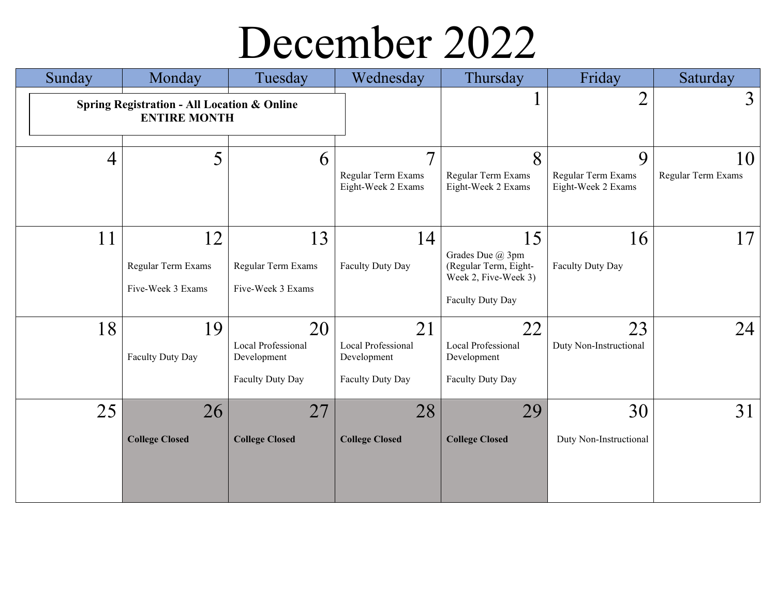#### December 2022

| Sunday         | Monday                                                                        | Tuesday                                                     | Wednesday                                                   | Thursday                                                                                    | Friday                                        | Saturday                 |
|----------------|-------------------------------------------------------------------------------|-------------------------------------------------------------|-------------------------------------------------------------|---------------------------------------------------------------------------------------------|-----------------------------------------------|--------------------------|
|                | <b>Spring Registration - All Location &amp; Online</b><br><b>ENTIRE MONTH</b> |                                                             |                                                             | $\mathbf{I}$                                                                                | $\overline{2}$                                | $\overline{3}$           |
| $\overline{4}$ | 5                                                                             | 6                                                           | $\tau$<br>Regular Term Exams<br>Eight-Week 2 Exams          | 8<br>Regular Term Exams<br>Eight-Week 2 Exams                                               | 9<br>Regular Term Exams<br>Eight-Week 2 Exams | 10<br>Regular Term Exams |
| 11             | 12<br>Regular Term Exams<br>Five-Week 3 Exams                                 | 13<br>Regular Term Exams<br>Five-Week 3 Exams               | 14<br>Faculty Duty Day                                      | 15<br>Grades Due @ 3pm<br>(Regular Term, Eight-<br>Week 2, Five-Week 3)<br>Faculty Duty Day | 16<br>Faculty Duty Day                        | 17                       |
| 18             | 19<br>Faculty Duty Day                                                        | 20<br>Local Professional<br>Development<br>Faculty Duty Day | 21<br>Local Professional<br>Development<br>Faculty Duty Day | 22<br>Local Professional<br>Development<br>Faculty Duty Day                                 | 23<br>Duty Non-Instructional                  | 24                       |
| 25             | 26<br><b>College Closed</b>                                                   | 27<br><b>College Closed</b>                                 | 28<br><b>College Closed</b>                                 | 29<br><b>College Closed</b>                                                                 | 30<br>Duty Non-Instructional                  | 31                       |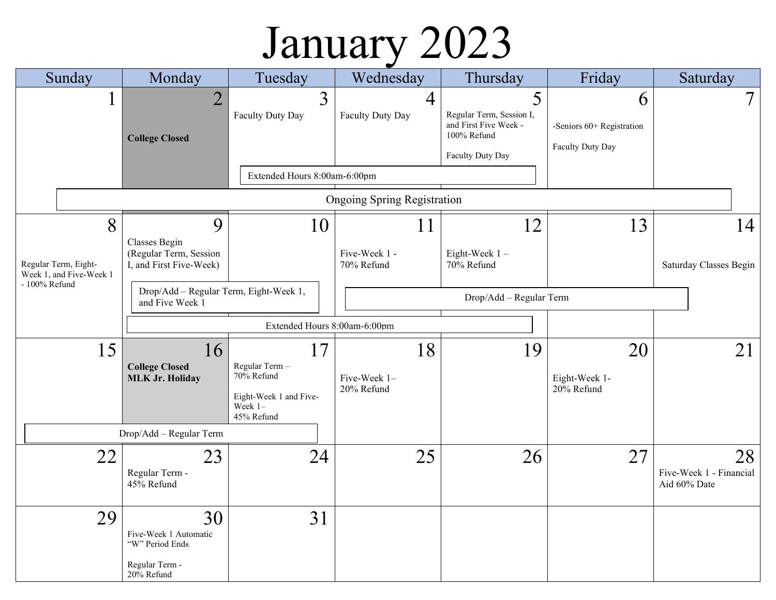## January 2023

| Sunday                                                                | Monday                                                                         | Tuesday                                                                              | Wednesday                          | Thursday                                                                                  | Friday                                             | Saturday                                      |
|-----------------------------------------------------------------------|--------------------------------------------------------------------------------|--------------------------------------------------------------------------------------|------------------------------------|-------------------------------------------------------------------------------------------|----------------------------------------------------|-----------------------------------------------|
|                                                                       | $\overline{2}$<br><b>College Closed</b>                                        | 3<br>Faculty Duty Day<br>Extended Hours 8:00am-6:00pm                                | 4<br>Faculty Duty Day              | 5<br>Regular Term, Session I,<br>and First Five Week -<br>100% Refund<br>Faculty Duty Day | 6<br>-Seniors 60+ Registration<br>Faculty Duty Day | $\overline{7}$                                |
|                                                                       |                                                                                |                                                                                      | <b>Ongoing Spring Registration</b> |                                                                                           |                                                    |                                               |
| 8<br>Regular Term, Eight-<br>Week 1, and Five-Week 1<br>- 100% Refund | 9<br>Classes Begin<br>(Regular Term, Session<br>I, and First Five-Week)        | 10                                                                                   | 11<br>Five-Week 1 -<br>70% Refund  | 12<br>Eight-Week $1 -$<br>70% Refund                                                      | 13                                                 | 14<br>Saturday Classes Begin                  |
|                                                                       | Drop/Add - Regular Term, Eight-Week 1,<br>and Five Week 1                      |                                                                                      |                                    | Drop/Add - Regular Term                                                                   |                                                    |                                               |
|                                                                       |                                                                                | Extended Hours 8:00am-6:00pm                                                         |                                    |                                                                                           |                                                    |                                               |
| 15                                                                    | 16<br><b>College Closed</b><br><b>MLK Jr. Holiday</b>                          | 17<br>Regular Term-<br>70% Refund<br>Eight-Week 1 and Five-<br>Week 1-<br>45% Refund | 18<br>Five-Week 1-<br>20% Refund   | 19                                                                                        | 20<br>Eight-Week 1-<br>20% Refund                  | 21                                            |
|                                                                       | Drop/Add - Regular Term                                                        |                                                                                      |                                    |                                                                                           |                                                    |                                               |
| 22                                                                    | 23<br>Regular Term -<br>45% Refund                                             | 24                                                                                   | 25                                 | 26                                                                                        | 27                                                 | 28<br>Five-Week 1 - Financial<br>Aid 60% Date |
| 29                                                                    | 30<br>Five-Week 1 Automatic<br>"W" Period Ends<br>Regular Term -<br>20% Refund | 31                                                                                   |                                    |                                                                                           |                                                    |                                               |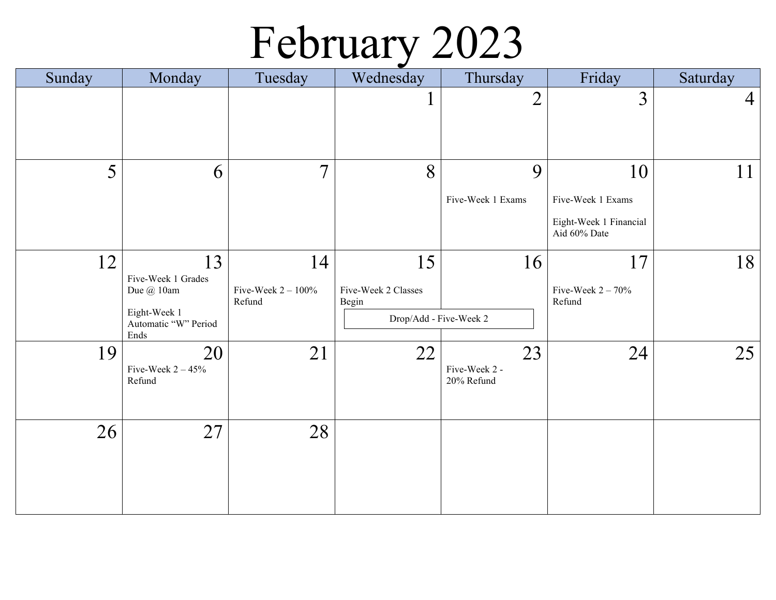### February 2023

| Sunday | Monday                                                                                 | Tuesday                               | Wednesday                                                    | Thursday                          | Friday                                                            | Saturday       |
|--------|----------------------------------------------------------------------------------------|---------------------------------------|--------------------------------------------------------------|-----------------------------------|-------------------------------------------------------------------|----------------|
|        |                                                                                        |                                       | $\mathbf{r}$                                                 | $\overline{2}$                    | 3                                                                 | $\overline{4}$ |
| 5      | 6                                                                                      | $\overline{7}$                        | 8                                                            | 9<br>Five-Week 1 Exams            | 10<br>Five-Week 1 Exams<br>Eight-Week 1 Financial<br>Aid 60% Date | 11             |
| 12     | 13<br>Five-Week 1 Grades<br>Due @ 10am<br>Eight-Week 1<br>Automatic "W" Period<br>Ends | 14<br>Five-Week $2 - 100\%$<br>Refund | 15<br>Five-Week 2 Classes<br>Begin<br>Drop/Add - Five-Week 2 | 16                                | 17<br>Five-Week $2 - 70\%$<br>Refund                              | 18             |
| 19     | 20<br>Five-Week $2 - 45%$<br>Refund                                                    | 21                                    | 22                                                           | 23<br>Five-Week 2 -<br>20% Refund | 24                                                                | 25             |
| 26     | 27                                                                                     | 28                                    |                                                              |                                   |                                                                   |                |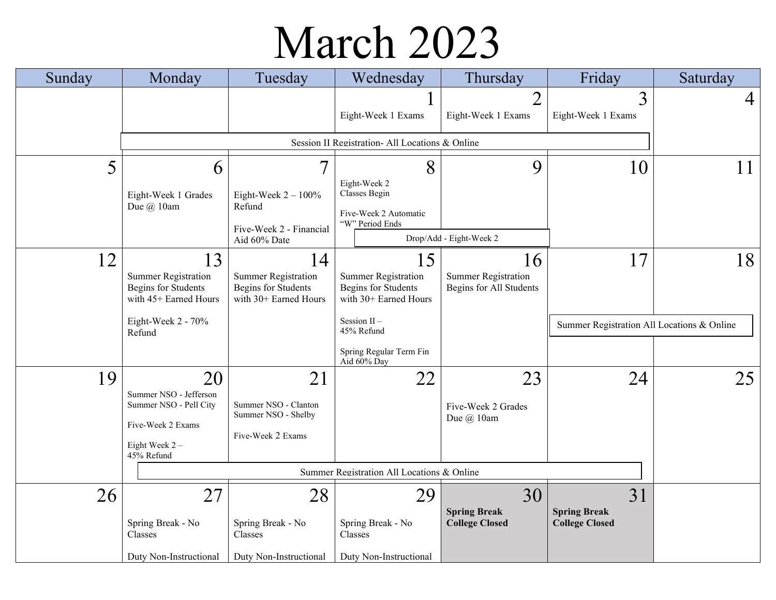### March 2023

| Sunday | Monday                                                                                                        | Tuesday                                                                                       | Wednesday                                                                               | Thursday                                                    | Friday                                             | Saturday |  |  |
|--------|---------------------------------------------------------------------------------------------------------------|-----------------------------------------------------------------------------------------------|-----------------------------------------------------------------------------------------|-------------------------------------------------------------|----------------------------------------------------|----------|--|--|
|        |                                                                                                               |                                                                                               | $\bf{l}$<br>Eight-Week 1 Exams                                                          | $\overline{2}$<br>Eight-Week 1 Exams                        | 3<br>Eight-Week 1 Exams                            | 4        |  |  |
|        |                                                                                                               |                                                                                               | Session II Registration- All Locations & Online                                         |                                                             |                                                    |          |  |  |
| 5      | 6<br>Eight-Week 1 Grades<br>Due $\omega$ 10am                                                                 | $\overline{7}$<br>Eight-Week $2 - 100\%$<br>Refund<br>Five-Week 2 - Financial<br>Aid 60% Date | 8<br>Eight-Week 2<br>Classes Begin<br>Five-Week 2 Automatic<br>"W" Period Ends          | 9<br>Drop/Add - Eight-Week 2                                | 10                                                 | 11       |  |  |
| 12     | 13<br><b>Summer Registration</b><br>Begins for Students<br>with 45+ Earned Hours                              | 14<br><b>Summer Registration</b><br>Begins for Students<br>with 30+ Earned Hours              | 15<br><b>Summer Registration</b><br><b>Begins for Students</b><br>with 30+ Earned Hours | 16<br><b>Summer Registration</b><br>Begins for All Students | 17                                                 | 18       |  |  |
|        | Eight-Week 2 - 70%<br>Refund                                                                                  |                                                                                               | Session $II -$<br>45% Refund<br>Spring Regular Term Fin<br>Aid 60% Day                  |                                                             | Summer Registration All Locations & Online         |          |  |  |
| 19     | 20<br>Summer NSO - Jefferson<br>Summer NSO - Pell City<br>Five-Week 2 Exams<br>Eight Week $2 -$<br>45% Refund | 21<br>Summer NSO - Clanton<br>Summer NSO - Shelby<br>Five-Week 2 Exams                        | 22                                                                                      | 23<br>Five-Week 2 Grades<br>Due $\omega$ 10am               | 24                                                 | 25       |  |  |
|        | Summer Registration All Locations & Online                                                                    |                                                                                               |                                                                                         |                                                             |                                                    |          |  |  |
| 26     | 27<br>Spring Break - No<br>Classes<br>Duty Non-Instructional                                                  | 28<br>Spring Break - No<br>Classes<br>Duty Non-Instructional                                  | 29<br>Spring Break - No<br>Classes<br>Duty Non-Instructional                            | 30<br><b>Spring Break</b><br><b>College Closed</b>          | 31<br><b>Spring Break</b><br><b>College Closed</b> |          |  |  |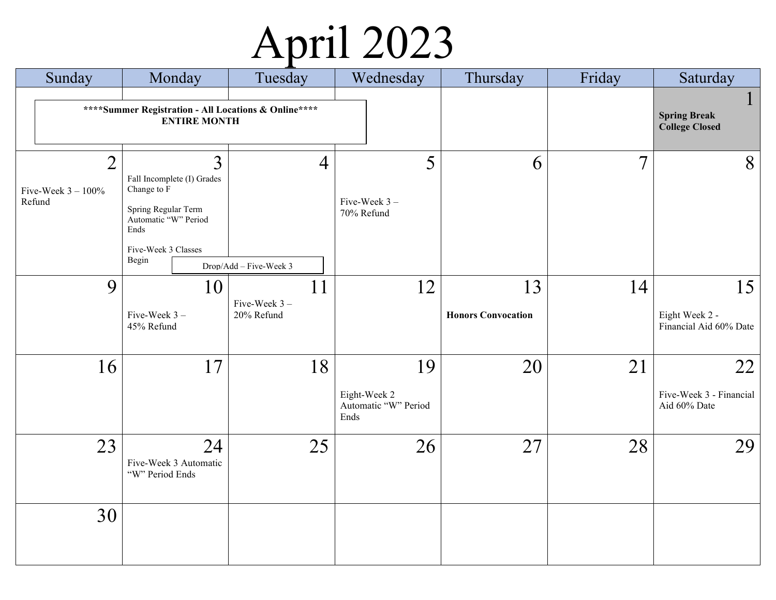## April 2023

| Sunday                                                                       |                                                                                                    | Monday                                       | Tuesday                                  |            | Wednesday                                  | Thursday                        | Friday                                                  | Saturday                                       |
|------------------------------------------------------------------------------|----------------------------------------------------------------------------------------------------|----------------------------------------------|------------------------------------------|------------|--------------------------------------------|---------------------------------|---------------------------------------------------------|------------------------------------------------|
| **** Summer Registration - All Locations & Online****<br><b>ENTIRE MONTH</b> |                                                                                                    |                                              |                                          |            |                                            |                                 | $\perp$<br><b>Spring Break</b><br><b>College Closed</b> |                                                |
| $\overline{2}$<br>Five-Week $3 - 100\%$<br>Refund                            | Change to F<br>Spring Regular Term<br>Automatic "W" Period<br>Ends<br>Five-Week 3 Classes<br>Begin | $\overline{3}$<br>Fall Incomplete (I) Grades | $\overline{4}$<br>Drop/Add - Five-Week 3 | 70% Refund | 5<br>Five-Week $3-$                        | 6                               | $\overline{7}$                                          | 8                                              |
| 9                                                                            | Five-Week 3-<br>45% Refund                                                                         | 10                                           | 11<br>Five-Week $3-$<br>20% Refund       |            | 12                                         | 13<br><b>Honors Convocation</b> | 14                                                      | 15<br>Eight Week 2 -<br>Financial Aid 60% Date |
| 16                                                                           |                                                                                                    | 17                                           | 18                                       | Ends       | 19<br>Eight-Week 2<br>Automatic "W" Period | 20                              | 21                                                      | 22<br>Five-Week 3 - Financial<br>Aid 60% Date  |
| 23                                                                           | "W" Period Ends                                                                                    | 24<br>Five-Week 3 Automatic                  | 25                                       |            | 26                                         | 27                              | 28                                                      | 29                                             |
| 30                                                                           |                                                                                                    |                                              |                                          |            |                                            |                                 |                                                         |                                                |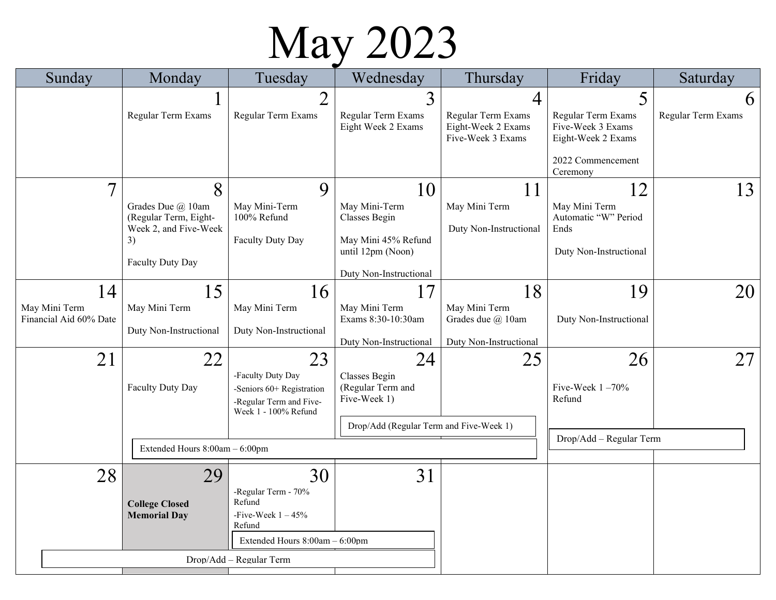## May 2023

| Sunday                                        | Monday                                                                                             | Tuesday                                                                                                                            | Wednesday                                                                                                  | Thursday                                                                        | Friday                                                                                    | Saturday                |
|-----------------------------------------------|----------------------------------------------------------------------------------------------------|------------------------------------------------------------------------------------------------------------------------------------|------------------------------------------------------------------------------------------------------------|---------------------------------------------------------------------------------|-------------------------------------------------------------------------------------------|-------------------------|
|                                               | $\mathbf{l}$<br>Regular Term Exams                                                                 | $\overline{2}$<br>Regular Term Exams                                                                                               | $\overline{3}$<br>Regular Term Exams<br>Eight Week 2 Exams                                                 | $\overline{4}$<br>Regular Term Exams<br>Eight-Week 2 Exams<br>Five-Week 3 Exams | 5<br>Regular Term Exams<br>Five-Week 3 Exams<br>Eight-Week 2 Exams<br>2022 Commencement   | 6<br>Regular Term Exams |
| $\overline{7}$                                | 8<br>Grades Due @ 10am<br>(Regular Term, Eight-<br>Week 2, and Five-Week<br>3)<br>Faculty Duty Day | 9<br>May Mini-Term<br>100% Refund<br>Faculty Duty Day                                                                              | 10<br>May Mini-Term<br>Classes Begin<br>May Mini 45% Refund<br>until 12pm (Noon)<br>Duty Non-Instructional | 11<br>May Mini Term<br>Duty Non-Instructional                                   | Ceremony<br>12<br>May Mini Term<br>Automatic "W" Period<br>Ends<br>Duty Non-Instructional | 13                      |
| 14<br>May Mini Term<br>Financial Aid 60% Date | 15<br>May Mini Term<br>Duty Non-Instructional                                                      | 16<br>May Mini Term<br>Duty Non-Instructional                                                                                      | 17<br>May Mini Term<br>Exams 8:30-10:30am<br>Duty Non-Instructional                                        | 18<br>May Mini Term<br>Grades due @ 10am<br>Duty Non-Instructional              | 19<br>Duty Non-Instructional                                                              | 20                      |
| 21                                            | 22<br>Faculty Duty Day                                                                             | 23<br>-Faculty Duty Day<br>-Seniors 60+ Registration<br>-Regular Term and Five-<br>Week 1 - 100% Refund                            | 24<br>Classes Begin<br>(Regular Term and<br>Five-Week 1)<br>Drop/Add (Regular Term and Five-Week 1)        | 25                                                                              | 26<br>Five-Week $1 - 70\%$<br>Refund<br>Drop/Add - Regular Term                           | 27                      |
| 28                                            | Extended Hours 8:00am - 6:00pm<br>29<br><b>College Closed</b><br><b>Memorial Day</b>               | 30<br>-Regular Term - 70%<br>Refund<br>-Five-Week $1 - 45%$<br>Refund<br>Extended Hours 8:00am - 6:00pm<br>Drop/Add - Regular Term | 31                                                                                                         |                                                                                 |                                                                                           |                         |
|                                               |                                                                                                    |                                                                                                                                    |                                                                                                            |                                                                                 |                                                                                           |                         |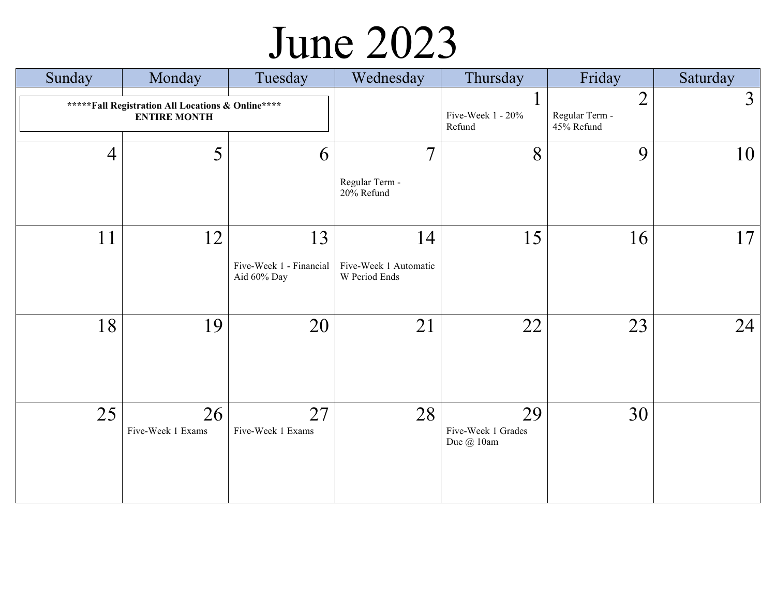### June 2023

| Sunday                                                                    | Monday                  | Tuesday                                      | Wednesday                                      | Thursday                                    | Friday                                         | Saturday |
|---------------------------------------------------------------------------|-------------------------|----------------------------------------------|------------------------------------------------|---------------------------------------------|------------------------------------------------|----------|
| ***** Fall Registration All Locations & Online****<br><b>ENTIRE MONTH</b> |                         |                                              |                                                | $\mathbf{1}$<br>Five-Week 1 - 20%<br>Refund | $\overline{2}$<br>Regular Term -<br>45% Refund | 3        |
| $\overline{4}$                                                            | 5                       | 6                                            | $\overline{7}$<br>Regular Term -<br>20% Refund | 8                                           | 9                                              | 10       |
| 11                                                                        | 12                      | 13<br>Five-Week 1 - Financial<br>Aid 60% Day | 14<br>Five-Week 1 Automatic<br>W Period Ends   | 15                                          | 16                                             | 17       |
| 18                                                                        | 19                      | 20                                           | 21                                             | 22                                          | 23                                             | 24       |
| 25                                                                        | 26<br>Five-Week 1 Exams | 27<br>Five-Week 1 Exams                      | 28                                             | 29<br>Five-Week 1 Grades<br>Due $@10$ am    | 30                                             |          |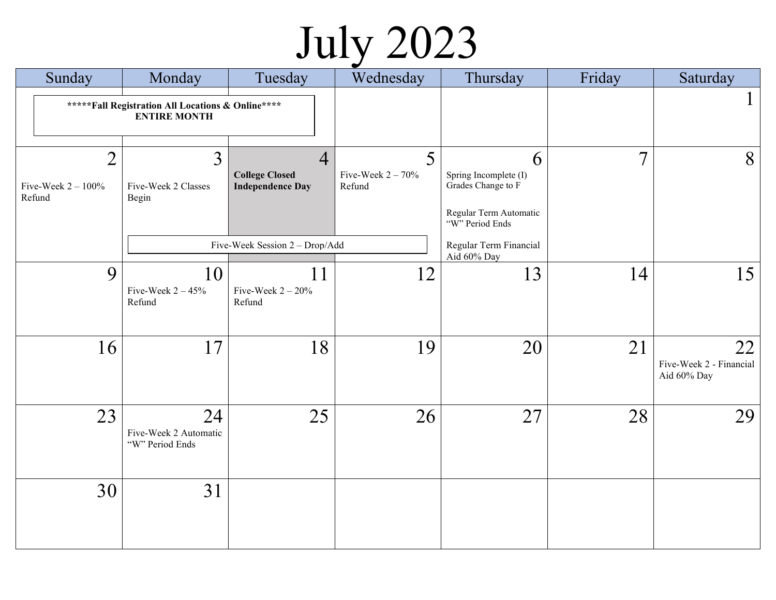## July 2023

| Sunday                                                                    | Monday                                         | Tuesday                                                            | Wednesday                        | Thursday                                                                                      | Friday         | Saturday                                     |
|---------------------------------------------------------------------------|------------------------------------------------|--------------------------------------------------------------------|----------------------------------|-----------------------------------------------------------------------------------------------|----------------|----------------------------------------------|
| ***** Fall Registration All Locations & Online****<br><b>ENTIRE MONTH</b> |                                                |                                                                    |                                  |                                                                                               |                | 1                                            |
| $\overline{2}$<br>Five-Week $2 - 100\%$<br>Refund                         | $\overline{3}$<br>Five-Week 2 Classes<br>Begin | $\overline{4}$<br><b>College Closed</b><br><b>Independence Day</b> | 5<br>Five-Week $2-70%$<br>Refund | 6<br>Spring Incomplete (I)<br>Grades Change to F<br>Regular Term Automatic<br>"W" Period Ends | $\overline{7}$ | 8                                            |
|                                                                           |                                                | Five-Week Session 2 - Drop/Add                                     |                                  | Regular Term Financial<br>Aid 60% Day                                                         |                |                                              |
| 9                                                                         | 10<br>Five-Week $2 - 45%$<br>Refund            | 11<br>Five-Week $2-20%$<br>Refund                                  | 12                               | 13                                                                                            | 14             | 15                                           |
| 16                                                                        | 17                                             | 18                                                                 | 19                               | 20                                                                                            | 21             | 22<br>Five-Week 2 - Financial<br>Aid 60% Day |
| 23                                                                        | 24<br>Five-Week 2 Automatic<br>"W" Period Ends | 25                                                                 | 26                               | 27                                                                                            | 28             | 29                                           |
| 30                                                                        | 31                                             |                                                                    |                                  |                                                                                               |                |                                              |